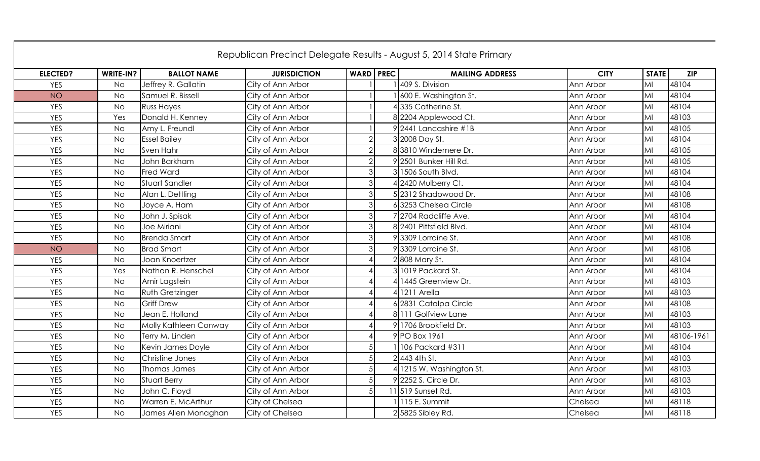|                 |           |                        |                     |                           | Republican Precinct Delegate Results - August 5, 2014 State Primary |             |              |            |
|-----------------|-----------|------------------------|---------------------|---------------------------|---------------------------------------------------------------------|-------------|--------------|------------|
| <b>ELECTED?</b> | WRITE-IN? | <b>BALLOT NAME</b>     | <b>JURISDICTION</b> | <b>WARD PREC</b>          | <b>MAILING ADDRESS</b>                                              | <b>CITY</b> | <b>STATE</b> | <b>ZIP</b> |
| <b>YES</b>      | <b>No</b> | Jeffrey R. Gallatin    | City of Ann Arbor   |                           | 409 S. Division                                                     | Ann Arbor   | MI           | 48104      |
| <b>NO</b>       | <b>No</b> | Samuel R. Bissell      | City of Ann Arbor   |                           | 600 E. Washington St.                                               | Ann Arbor   | MI           | 48104      |
| <b>YES</b>      | <b>No</b> | <b>Russ Hayes</b>      | City of Ann Arbor   |                           | 4335 Catherine St.                                                  | Ann Arbor   | MI           | 48104      |
| <b>YES</b>      | Yes       | Donald H. Kenney       | City of Ann Arbor   |                           | 8 2204 Applewood Ct.                                                | Ann Arbor   | MI           | 48103      |
| <b>YES</b>      | <b>No</b> | Amy L. Freundl         | City of Ann Arbor   |                           | 92441 Lancashire #1B                                                | Ann Arbor   | MI           | 48105      |
| <b>YES</b>      | <b>No</b> | <b>Essel Bailey</b>    | City of Ann Arbor   | $\overline{2}$            | 3 2008 Day St.                                                      | Ann Arbor   | MI           | 48104      |
| <b>YES</b>      | <b>No</b> | Sven Hahr              | City of Ann Arbor   | $\overline{2}$            | 83810 Windemere Dr.                                                 | Ann Arbor   | MI           | 48105      |
| <b>YES</b>      | <b>No</b> | John Barkham           | City of Ann Arbor   | $\overline{2}$            | 9 2501 Bunker Hill Rd.                                              | Ann Arbor   | MI           | 48105      |
| <b>YES</b>      | <b>No</b> | Fred Ward              | City of Ann Arbor   | $\mathfrak{S}$            | 31506 South Blvd.                                                   | Ann Arbor   | MI           | 48104      |
| <b>YES</b>      | <b>No</b> | <b>Stuart Sandler</b>  | City of Ann Arbor   | 3 <sup>1</sup>            | 42420 Mulberry Ct.                                                  | Ann Arbor   | MI           | 48104      |
| <b>YES</b>      | <b>No</b> | Alan L. Dettling       | City of Ann Arbor   | $\overline{3}$            | 52312 Shadowood Dr.                                                 | Ann Arbor   | MI           | 48108      |
| <b>YES</b>      | <b>No</b> | Joyce A. Ham           | City of Ann Arbor   | $\mathfrak{S}$            | 63253 Chelsea Circle                                                | Ann Arbor   | MI           | 48108      |
| <b>YES</b>      | <b>No</b> | John J. Spisak         | City of Ann Arbor   | $\overline{3}$            | 7 2704 Radcliffe Ave.                                               | Ann Arbor   | MI           | 48104      |
| <b>YES</b>      | <b>No</b> | Joe Miriani            | City of Ann Arbor   | $\mathfrak{S}$            | 8 2401 Pittsfield Blvd.                                             | Ann Arbor   | MI           | 48104      |
| <b>YES</b>      | <b>No</b> | <b>Brenda Smart</b>    | City of Ann Arbor   | 3                         | 93309 Lorraine St.                                                  | Ann Arbor   | MI           | 48108      |
| <b>NO</b>       | <b>No</b> | <b>Brad Smart</b>      | City of Ann Arbor   | $\overline{3}$            | 93309 Lorraine St.                                                  | Ann Arbor   | MI           | 48108      |
| <b>YES</b>      | <b>No</b> | Joan Knoertzer         | City of Ann Arbor   | $\boldsymbol{\varLambda}$ | 2808 Mary St.                                                       | Ann Arbor   | MI           | 48104      |
| <b>YES</b>      | Yes       | Nathan R. Henschel     | City of Ann Arbor   | $\boldsymbol{\varDelta}$  | 3 1019 Packard St.                                                  | Ann Arbor   | MI           | 48104      |
| <b>YES</b>      | <b>No</b> | Amir Lagstein          | City of Ann Arbor   |                           | 1445 Greenview Dr.                                                  | Ann Arbor   | MI           | 48103      |
| <b>YES</b>      | <b>No</b> | <b>Ruth Gretzinger</b> | City of Ann Arbor   | 4                         | 41211 Arella                                                        | Ann Arbor   | MI           | 48103      |
| <b>YES</b>      | <b>No</b> | <b>Griff Drew</b>      | City of Ann Arbor   | $\boldsymbol{\varLambda}$ | 62831 Catalpa Circle                                                | Ann Arbor   | MI           | 48108      |
| <b>YES</b>      | <b>No</b> | Jean E. Holland        | City of Ann Arbor   |                           | 8111 Golfview Lane                                                  | Ann Arbor   | MI           | 48103      |
| <b>YES</b>      | <b>No</b> | Molly Kathleen Conway  | City of Ann Arbor   |                           | 9 1706 Brookfield Dr.                                               | Ann Arbor   | MI           | 48103      |
| <b>YES</b>      | <b>No</b> | Terry M. Linden        | City of Ann Arbor   |                           | 9 PO Box 1961                                                       | Ann Arbor   | MI           | 48106-1961 |
| <b>YES</b>      | <b>No</b> | Kevin James Doyle      | City of Ann Arbor   | 5                         | 106 Packard #311                                                    | Ann Arbor   | MI           | 48104      |
| <b>YES</b>      | <b>No</b> | Christine Jones        | City of Ann Arbor   | 5                         | $2$ 443 4th St.                                                     | Ann Arbor   | MI           | 48103      |
| <b>YES</b>      | <b>No</b> | Thomas James           | City of Ann Arbor   | 5                         | 4 1215 W. Washington St.                                            | Ann Arbor   | MI           | 48103      |
| <b>YES</b>      | <b>No</b> | <b>Stuart Berry</b>    | City of Ann Arbor   | 5 <sub>l</sub>            | 9 2252 S. Circle Dr.                                                | Ann Arbor   | MI           | 48103      |
| <b>YES</b>      | <b>No</b> | John C. Floyd          | City of Ann Arbor   | 5 <sup>1</sup>            | 11 519 Sunset Rd.                                                   | Ann Arbor   | MI           | 48103      |
| <b>YES</b>      | <b>No</b> | Warren E. McArthur     | City of Chelsea     |                           | 115 E. Summit                                                       | Chelsea     | MI           | 48118      |
| <b>YES</b>      | <b>No</b> | James Allen Monaghan   | City of Chelsea     |                           | 2 5825 Sibley Rd.                                                   | Chelsea     | MI           | 48118      |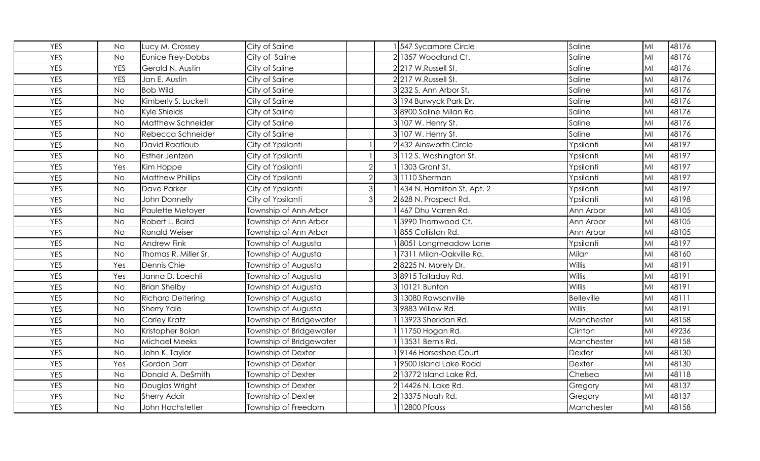| YES        | <b>No</b>  | Lucy M. Crossey          | City of Saline          |                | 547 Sycamore Circle        | Saline            | MI | 48176 |
|------------|------------|--------------------------|-------------------------|----------------|----------------------------|-------------------|----|-------|
| <b>YES</b> | <b>No</b>  | Eunice Frey-Dobbs        | City of Saline          |                | 21357 Woodland Ct.         | Saline            | MI | 48176 |
| <b>YES</b> | <b>YES</b> | Gerald N. Austin         | City of Saline          |                | 2217 W.Russell St.         | Saline            | MI | 48176 |
| YES        | <b>YES</b> | Jan E. Austin            | City of Saline          |                | 2217 W.Russell St.         | Saline            | MI | 48176 |
| YES        | <b>No</b>  | <b>Bob Wild</b>          | City of Saline          |                | 3 232 S. Ann Arbor St.     | Saline            | MI | 48176 |
| <b>YES</b> | <b>No</b>  | Kimberly S. Luckett      | City of Saline          |                | 3 194 Burwyck Park Dr.     | Saline            | MI | 48176 |
| <b>YES</b> | <b>No</b>  | Kyle Shields             | City of Saline          |                | 3 8900 Saline Milan Rd.    | Saline            | MI | 48176 |
| <b>YES</b> | <b>No</b>  | Matthew Schneider        | City of Saline          |                | 3 107 W. Henry St.         | Saline            | MI | 48176 |
| <b>YES</b> | <b>No</b>  | Rebecca Schneider        | City of Saline          |                | 3 107 W. Henry St.         | Saline            | MI | 48176 |
| <b>YES</b> | <b>No</b>  | David Raaflaub           | City of Ypsilanti       |                | 2432 Ainsworth Circle      | Ypsilanti         | MI | 48197 |
| <b>YES</b> | <b>No</b>  | Esther Jentzen           | City of Ypsilanti       |                | 3 112 S. Washington St.    | Ypsilanti         | MI | 48197 |
| <b>YES</b> | Yes        | Kim Hoppe                | City of Ypsilanti       | $\overline{2}$ | 1303 Grant St.             | Ypsilanti         | MI | 48197 |
| YES        | <b>No</b>  | <b>Matthew Phillips</b>  | City of Ypsilanti       |                | 3 1110 Sherman             | Ypsilanti         | MI | 48197 |
| <b>YES</b> | <b>No</b>  | Dave Parker              | City of Ypsilanti       | $\mathbf{3}$   | 434 N. Hamilton St. Apt. 2 | Ypsilanti         | MI | 48197 |
| <b>YES</b> | <b>No</b>  | John Donnelly            | City of Ypsilanti       | 3              | 2628 N. Prospect Rd.       | Ypsilanti         | MI | 48198 |
| <b>YES</b> | <b>No</b>  | Paulette Metoyer         | Township of Ann Arbor   |                | 467 Dhu Varren Rd.         | Ann Arbor         | MI | 48105 |
| <b>YES</b> | <b>No</b>  | Robert L. Baird          | Township of Ann Arbor   |                | 3990 Thornwood Ct.         | Ann Arbor         | MI | 48105 |
| <b>YES</b> | <b>No</b>  | <b>Ronald Weiser</b>     | Township of Ann Arbor   |                | 855 Colliston Rd.          | Ann Arbor         | MI | 48105 |
| <b>YES</b> | <b>No</b>  | <b>Andrew Fink</b>       | Township of Augusta     |                | 8051 Longmeadow Lane       | Ypsilanti         | MI | 48197 |
| <b>YES</b> | <b>No</b>  | Thomas R. Miller Sr.     | Township of Augusta     |                | 7311 Milan-Oakville Rd.    | Milan             | MI | 48160 |
| <b>YES</b> | Yes        | Dennis Chie              | Township of Augusta     |                | 28225 N. Morely Dr.        | Willis            | MI | 48191 |
| <b>YES</b> | Yes        | Janna D. Loechli         | Township of Augusta     |                | 38915 Talladay Rd.         | Willis            | MI | 48191 |
| <b>YES</b> | <b>No</b>  | <b>Brian Shelby</b>      | Township of Augusta     |                | 3 10121 Bunton             | Willis            | MI | 48191 |
| <b>YES</b> | <b>No</b>  | <b>Richard Deitering</b> | Township of Augusta     |                | 3 13080 Rawsonville        | <b>Belleville</b> | MI | 48111 |
| <b>YES</b> | <b>No</b>  | <b>Sherry Yale</b>       | Township of Augusta     |                | 3 9883 Willow Rd.          | Willis            | MI | 48191 |
| YES        | <b>No</b>  | Carley Kratz             | Township of Bridgewater |                | 13923 Sheridan Rd.         | Manchester        | MI | 48158 |
| <b>YES</b> | <b>No</b>  | Kristopher Bolan         | Township of Bridgewater |                | 11750 Hogan Rd.            | Clinton           | MI | 49236 |
| <b>YES</b> | <b>No</b>  | <b>Michael Meeks</b>     | Township of Bridgewater |                | 13531 Bemis Rd.            | Manchester        | MI | 48158 |
| <b>YES</b> | <b>No</b>  | John K. Taylor           | Township of Dexter      |                | 9146 Horseshoe Court       | Dexter            | MI | 48130 |
| <b>YES</b> | Yes        | <b>Gordon Darr</b>       | Township of Dexter      |                | 9500 Island Lake Road      | Dexter            | MI | 48130 |
| YES        | <b>No</b>  | Donald A. DeSmith        | Township of Dexter      |                | 2 13772 Island Lake Rd.    | Chelsea           | MI | 48118 |
| <b>YES</b> | <b>No</b>  | Douglas Wright           | Township of Dexter      |                | 14426 N. Lake Rd.          | Gregory           | MI | 48137 |
| YES        | <b>No</b>  | <b>Sherry Adair</b>      | Township of Dexter      |                | 13375 Noah Rd.             | Gregory           | MI | 48137 |
| <b>YES</b> | <b>No</b>  | John Hochstetler         | Township of Freedom     |                | 12800 Pfauss               | Manchester        | MI | 48158 |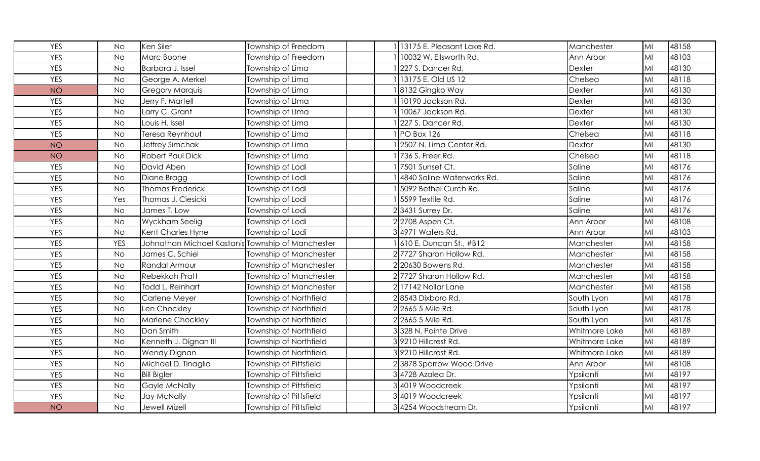| <b>YES</b> | <b>No</b>  | Ken Siler                                         | Township of Freedom           | 13175 E. Pleasant Lake Rd. | Manchester    | MI | 48158 |
|------------|------------|---------------------------------------------------|-------------------------------|----------------------------|---------------|----|-------|
| <b>YES</b> | <b>No</b>  | Marc Boone                                        | Township of Freedom           | 10032 W. Ellsworth Rd.     | Ann Arbor     | MI | 48103 |
| <b>YES</b> | <b>No</b>  | Barbara J. Issel                                  | Township of Lima              | 227 S. Dancer Rd.          | <b>Dexter</b> | MI | 48130 |
| <b>YES</b> | <b>No</b>  | George A. Merkel                                  | Township of Lima              | 13175 E. Old US 12         | Chelsea       | MI | 48118 |
| <b>NO</b>  | <b>No</b>  | <b>Gregory Marquis</b>                            | Township of Lima              | 8132 Gingko Way            | Dexter        | MI | 48130 |
| <b>YES</b> | <b>No</b>  | Jerry F. Martell                                  | Township of LIma              | 10190 Jackson Rd.          | Dexter        | MI | 48130 |
| <b>YES</b> | <b>No</b>  | Larry C. Grant                                    | Township of LIma              | 10067 Jackson Rd.          | Dexter        | MI | 48130 |
| <b>YES</b> | <b>No</b>  | Louis H. Issel                                    | Township of Lima              | 227 S. Dancer Rd.          | Dexter        | MI | 48130 |
| <b>YES</b> | <b>No</b>  | Teresa Reynhout                                   | Township of Lima              | PO Box 126                 | Chelsea       | MI | 48118 |
| <b>NO</b>  | <b>No</b>  | Jeffrey Simchak                                   | Township of Lima              | 2507 N. Lima Center Rd.    | Dexter        | MI | 48130 |
| <b>NO</b>  | <b>No</b>  | <b>Robert Paul Dick</b>                           | Township of Lima              | 736 S. Freer Rd.           | Chelsea       | MI | 48118 |
| <b>YES</b> | <b>No</b>  | David Aben                                        | Township of Lodi              | 7501 Sunset Ct.            | Saline        | MI | 48176 |
| <b>YES</b> | <b>No</b>  | Diane Bragg                                       | Township of Lodi              | 4840 Saline Waterworks Rd. | Saline        | MI | 48176 |
| <b>YES</b> | <b>No</b>  | <b>Thomas Frederick</b>                           | Township of Lodi              | 5092 Bethel Curch Rd.      | Saline        | MI | 48176 |
| <b>YES</b> | Yes        | Thomas J. Ciesicki                                | Township of Lodi              | 5599 Textile Rd.           | Saline        | MI | 48176 |
| <b>YES</b> | <b>No</b>  | James T. Low                                      | Township of Lodi              | 23431 Surrey Dr.           | Saline        | MI | 48176 |
| <b>YES</b> | <b>No</b>  | Wyckham Seelig                                    | Township of Lodi              | 2 2708 Aspen Ct.           | Ann Arbor     | MI | 48108 |
| <b>YES</b> | <b>No</b>  | Kent Charles Hyne                                 | Township of Lodi              | 34971 Waters Rd.           | Ann Arbor     | MI | 48103 |
| <b>YES</b> | <b>YES</b> | Johnathan Michael Kastanis Township of Manchester |                               | 610 E. Duncan St., #B12    | Manchester    | MI | 48158 |
| <b>YES</b> | <b>No</b>  | James C. Schiel                                   | Township of Manchester        | 2 7727 Sharon Hollow Rd.   | Manchester    | MI | 48158 |
| <b>YES</b> | <b>No</b>  | Randal Armour                                     | Township of Manchester        | 2 20630 Bowens Rd.         | Manchester    | MI | 48158 |
| <b>YES</b> | <b>No</b>  | <b>Rebekkah Pratt</b>                             | Township of Manchester        | 2 7727 Sharon Hollow Rd.   | Manchester    | MI | 48158 |
| <b>YES</b> | <b>No</b>  | Todd L. Reinhart                                  | Township of Manchester        | 2 17142 Nollar Lane        | Manchester    | MI | 48158 |
| <b>YES</b> | <b>No</b>  | Carlene Meyer                                     | Township of Northfield        | 28543 Dixboro Rd.          | South Lyon    | MI | 48178 |
| <b>YES</b> | <b>No</b>  | Len Chockley                                      | Township of Northfield        | 2 2665 5 Mile Rd.          | South Lyon    | MI | 48178 |
| <b>YES</b> | <b>No</b>  | Marlene Chockley                                  | Township of Northfield        | 2 2665 5 Mile Rd.          | South Lyon    | MI | 48178 |
| <b>YES</b> | <b>No</b>  | Dan Smith                                         | Township of Northfield        | 3328 N. Pointe Drive       | Whitmore Lake | MI | 48189 |
| <b>YES</b> | <b>No</b>  | Kenneth J. Dignan III                             | Township of Northfield        | 39210 Hillcrest Rd.        | Whitmore Lake | MI | 48189 |
| <b>YES</b> | <b>No</b>  | <b>Wendy Dignan</b>                               | Township of Northfield        | 39210 Hillcrest Rd.        | Whitmore Lake | MI | 48189 |
| <b>YES</b> | <b>No</b>  | Michael D. Tinaglia                               | Township of Pittsfield        | 23878 Sparrow Wood Drive   | Ann Arbor     | MI | 48108 |
| <b>YES</b> | <b>No</b>  | <b>Bill Bigler</b>                                | <b>Township of Pittsfield</b> | 34728 Azalea Dr.           | Ypsilanti     | MI | 48197 |
| <b>YES</b> | <b>No</b>  | Gayle McNally                                     | <b>Township of Pittsfield</b> | 34019 Woodcreek            | Ypsilanti     | MI | 48197 |
| <b>YES</b> | <b>No</b>  | Jay McNally                                       | Township of Pittsfield        | 34019 Woodcreek            | Ypsilanti     | MI | 48197 |
| <b>NO</b>  | <b>No</b>  | Jewell Mizell                                     | Township of Pittsfield        | 3 4254 Woodstream Dr.      | Ypsilanti     | MI | 48197 |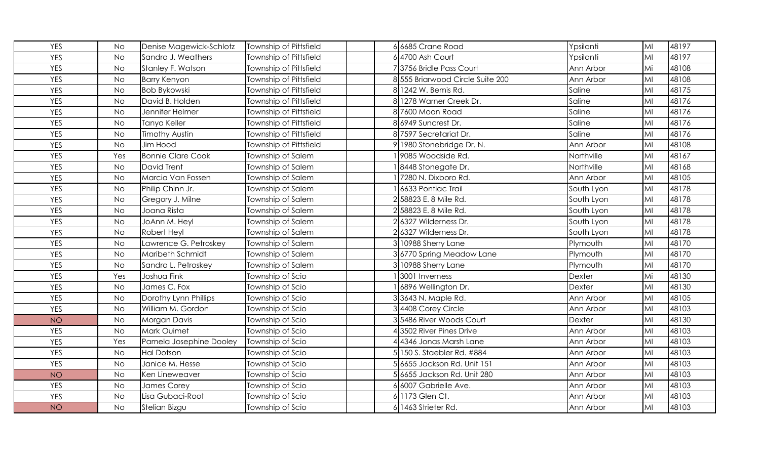| <b>YES</b> | <b>No</b> | Denise Magewick-Schlotz  | Township of Pittsfield | 6 6685 Crane Road                | Ypsilanti  | MI | 48197 |
|------------|-----------|--------------------------|------------------------|----------------------------------|------------|----|-------|
| <b>YES</b> | <b>No</b> | Sandra J. Weathers       | Township of Pittsfield | 64700 Ash Court                  | Ypsilanti  | MI | 48197 |
| <b>YES</b> | <b>No</b> | Stanley F. Watson        | Township of Pittsfield | 73756 Bridle Pass Court          | Ann Arbor  | Mi | 48108 |
| <b>YES</b> | <b>No</b> | <b>Barry Kenyon</b>      | Township of Pittsfield | 8 555 Briarwood Circle Suite 200 | Ann Arbor  | MI | 48108 |
| YES        | <b>No</b> | <b>Bob Bykowski</b>      | Township of Pittsfield | 8 1242 W. Bemis Rd.              | Saline     | MI | 48175 |
| <b>YES</b> | <b>No</b> | David B. Holden          | Township of Pittsfield | 8 1278 Warner Creek Dr.          | Saline     | MI | 48176 |
| <b>YES</b> | <b>No</b> | Jennifer Helmer          | Township of Pittsfield | 8 7600 Moon Road                 | Saline     | MI | 48176 |
| YES        | <b>No</b> | Tanya Keller             | Township of Pittsfield | 86949 Suncrest Dr.               | Saline     | MI | 48176 |
| <b>YES</b> | <b>No</b> | <b>Timothy Austin</b>    | Township of Pittsfield | 87597 Secretariat Dr.            | Saline     | MI | 48176 |
| <b>YES</b> | <b>No</b> | Jim Hood                 | Township of Pittsfield | 9 1980 Stonebridge Dr. N.        | Ann Arbor  | MI | 48108 |
| YES        | Yes       | <b>Bonnie Clare Cook</b> | Township of Salem      | 9085 Woodside Rd.                | Northville | MI | 48167 |
| <b>YES</b> | <b>No</b> | <b>David Trent</b>       | Township of Salem      | 8448 Stonegate Dr.               | Northville | MI | 48168 |
| <b>YES</b> | <b>No</b> | Marcia Van Fossen        | Township of Salem      | 7280 N. Dixboro Rd.              | Ann Arbor  | MI | 48105 |
| YES        | <b>No</b> | Philip Chinn Jr.         | Township of Salem      | 6633 Pontiac Trail               | South Lyon | MI | 48178 |
| YES        | <b>No</b> | Gregory J. Milne         | Township of Salem      | 2 58823 E. 8 Mile Rd.            | South Lyon | MI | 48178 |
| <b>YES</b> | <b>No</b> | Joana Rista              | Township of Salem      | 2 58823 E. 8 Mile Rd.            | South Lyon | MI | 48178 |
| YES        | <b>No</b> | JoAnn M. Heyl            | Township of Salem      | 26327 Wilderness Dr.             | South Lyon | MI | 48178 |
| <b>YES</b> | <b>No</b> | Robert Heyl              | Township of Salem      | 26327 Wilderness Dr.             | South Lyon | MI | 48178 |
| <b>YES</b> | <b>No</b> | Lawrence G. Petroskey    | Township of Salem      | 3 10988 Sherry Lane              | Plymouth   | MI | 48170 |
| <b>YES</b> | <b>No</b> | Maribeth Schmidt         | Township of Salem      | 36770 Spring Meadow Lane         | Plymouth   | MI | 48170 |
| <b>YES</b> | <b>No</b> | Sandra L. Petroskey      | Township of Salem      | 3 10988 Sherry Lane              | Plymouth   | MI | 48170 |
| <b>YES</b> | Yes       | Joshua Fink              | Township of Scio       | 3001 Inverness                   | Dexter     | Mi | 48130 |
| <b>YES</b> | <b>No</b> | James C. Fox             | Township of Scio       | 6896 Wellington Dr.              | Dexter     | MI | 48130 |
| YES        | <b>No</b> | Dorothy Lynn Phillips    | Township of Scio       | 3 3643 N. Maple Rd.              | Ann Arbor  | MI | 48105 |
| <b>YES</b> | <b>No</b> | William M. Gordon        | Township of Scio       | 3 4408 Corey Circle              | Ann Arbor  | MI | 48103 |
| <b>NO</b>  | <b>No</b> | Morgan Davis             | Township of Scio       | 3 5486 River Woods Court         | Dexter     | MI | 48130 |
| YES        | <b>No</b> | Mark Ouimet              | Township of Scio       | 43502 River Pines Drive          | Ann Arbor  | MI | 48103 |
| <b>YES</b> | Yes       | Pamela Josephine Dooley  | Township of Scio       | 44346 Jonas Marsh Lane           | Ann Arbor  | MI | 48103 |
| <b>YES</b> | <b>No</b> | <b>Hal Dotson</b>        | Township of Scio       | 5 150 S. Staebler Rd. #884       | Ann Arbor  | MI | 48103 |
| <b>YES</b> | <b>No</b> | Janice M. Hesse          | Township of Scio       | 5 6655 Jackson Rd. Unit 151      | Ann Arbor  | MI | 48103 |
| <b>NO</b>  | <b>No</b> | Ken Lineweaver           | Township of Scio       | 5 6655 Jackson Rd. Unit 280      | Ann Arbor  | MI | 48103 |
| <b>YES</b> | <b>No</b> | James Corey              | Township of Scio       | 6 6007 Gabrielle Ave.            | Ann Arbor  | MI | 48103 |
| <b>YES</b> | <b>No</b> | Lisa Gubaci-Root         | Township of Scio       | 1173 Glen Ct.                    | Ann Arbor  | MI | 48103 |
| <b>NO</b>  | <b>No</b> | Stelian Bizgu            | Township of Scio       | 61463 Strieter Rd.               | Ann Arbor  | MI | 48103 |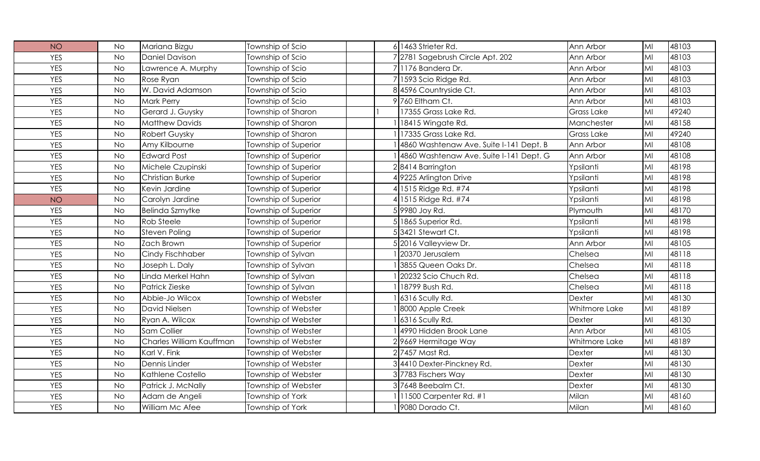| <b>NO</b>  | <b>No</b> | Mariana Bizgu            | Township of Scio            | 61463 Strieter Rd.                      | Ann Arbor         | MI | 48103 |
|------------|-----------|--------------------------|-----------------------------|-----------------------------------------|-------------------|----|-------|
| <b>YES</b> | <b>No</b> | <b>Daniel Davison</b>    | Township of Scio            | 7 2781 Sagebrush Circle Apt. 202        | Ann Arbor         | MI | 48103 |
| <b>YES</b> | <b>No</b> | Lawrence A. Murphy       | Township of Scio            | 71176 Bandera Dr.                       | Ann Arbor         | MI | 48103 |
| <b>YES</b> | <b>No</b> | Rose Ryan                | Township of Scio            | 7 1593 Scio Ridge Rd.                   | Ann Arbor         | MI | 48103 |
| <b>YES</b> | <b>No</b> | W. David Adamson         | Township of Scio            | 8 4596 Countryside Ct.                  | Ann Arbor         | MI | 48103 |
| <b>YES</b> | <b>No</b> | <b>Mark Perry</b>        | Township of Scio            | 9 760 Eltham Ct.                        | Ann Arbor         | MI | 48103 |
| <b>YES</b> | <b>No</b> | Gerard J. Guysky         | Township of Sharon          | 17355 Grass Lake Rd.                    | Grass Lake        | MI | 49240 |
| <b>YES</b> | <b>No</b> | <b>Matthew Davids</b>    | Township of Sharon          | 18415 Wingate Rd.                       | Manchester        | MI | 48158 |
| <b>YES</b> | <b>No</b> | Robert Guysky            | Township of Sharon          | 17335 Grass Lake Rd.                    | <b>Grass Lake</b> | MI | 49240 |
| <b>YES</b> | <b>No</b> | Amy Kilbourne            | Township of Superior        | 4860 Washtenaw Ave. Suite I-141 Dept. B | Ann Arbor         | MI | 48108 |
| <b>YES</b> | <b>No</b> | <b>Edward Post</b>       | Township of Superior        | 4860 Washtenaw Ave. Suite I-141 Dept. G | Ann Arbor         | MI | 48108 |
| <b>YES</b> | <b>No</b> | Michele Czupinski        | <b>Township of Superior</b> | 28414 Barrington                        | Ypsilanti         | MI | 48198 |
| <b>YES</b> | <b>No</b> | <b>Christian Burke</b>   | Township of Superior        | 49225 Arlington Drive                   | Ypsilanti         | MI | 48198 |
| <b>YES</b> | <b>No</b> | Kevin Jardine            | Township of Superior        | 4 1515 Ridge Rd. #74                    | Ypsilanti         | MI | 48198 |
| <b>NO</b>  | <b>No</b> | Carolyn Jardine          | Township of Superior        | 4 1515 Ridge Rd. #74                    | Ypsilanti         | MI | 48198 |
| <b>YES</b> | <b>No</b> | <b>Belinda Szmytke</b>   | Township of Superior        | 5 9980 Joy Rd.                          | Plymouth          | MI | 48170 |
| <b>YES</b> | <b>No</b> | Rob Steele               | Township of Superior        | 5 1865 Superior Rd.                     | Ypsilanti         | MI | 48198 |
| <b>YES</b> | <b>No</b> | <b>Steven Poling</b>     | Township of Superior        | 53421 Stewart Ct.                       | Ypsilanti         | MI | 48198 |
| <b>YES</b> | <b>No</b> | Zach Brown               | Township of Superior        | 52016 Valleyview Dr.                    | Ann Arbor         | MI | 48105 |
| <b>YES</b> | <b>No</b> | Cindy Fischhaber         | Township of Sylvan          | 20370 Jerusalem                         | Chelsea           | MI | 48118 |
| <b>YES</b> | <b>No</b> | Joseph L. Daly           | Township of Sylvan          | 3855 Queen Oaks Dr.                     | Chelsea           | MI | 48118 |
| <b>YES</b> | <b>No</b> | Linda Merkel Hahn        | Township of Sylvan          | 20232 Scio Chuch Rd.                    | Chelsea           | MI | 48118 |
| <b>YES</b> | <b>No</b> | <b>Patrick Zieske</b>    | Township of Sylvan          | 18799 Bush Rd.                          | Chelsea           | MI | 48118 |
| <b>YES</b> | <b>No</b> | Abbie-Jo Wilcox          | <b>Township of Webster</b>  | 6316 Scully Rd.                         | Dexter            | MI | 48130 |
| <b>YES</b> | <b>No</b> | David Nielsen            | Township of Webster         | 8000 Apple Creek                        | Whitmore Lake     | MI | 48189 |
| <b>YES</b> | <b>No</b> | Ryan A. Wilcox           | Township of Webster         | 6316 Scully Rd.                         | Dexter            | MI | 48130 |
| <b>YES</b> | <b>No</b> | Sam Collier              | Township of Webster         | 4990 Hidden Brook Lane                  | Ann Arbor         | MI | 48105 |
| <b>YES</b> | <b>No</b> | Charles William Kauffman | Township of Webster         | 29669 Hermitage Way                     | Whitmore Lake     | MI | 48189 |
| <b>YES</b> | <b>No</b> | Karl V. Fink             | Township of Webster         | 27457 Mast Rd.                          | Dexter            | MI | 48130 |
| <b>YES</b> | <b>No</b> | Dennis Linder            | Township of Webster         | 34410 Dexter-Pinckney Rd.               | Dexter            | MI | 48130 |
| <b>YES</b> | <b>No</b> | Kathlene Costello        | Township of Webster         | 37783 Fischers Way                      | Dexter            | MI | 48130 |
| <b>YES</b> | <b>No</b> | Patrick J. McNally       | Township of Webster         | 37648 Beebalm Ct.                       | Dexter            | MI | 48130 |
| <b>YES</b> | <b>No</b> | Adam de Angeli           | Township of York            | 11500 Carpenter Rd. #1                  | Milan             | MI | 48160 |
| <b>YES</b> | <b>No</b> | William Mc Afee          | Township of York            | 9080 Dorado Ct.                         | Milan             | MI | 48160 |